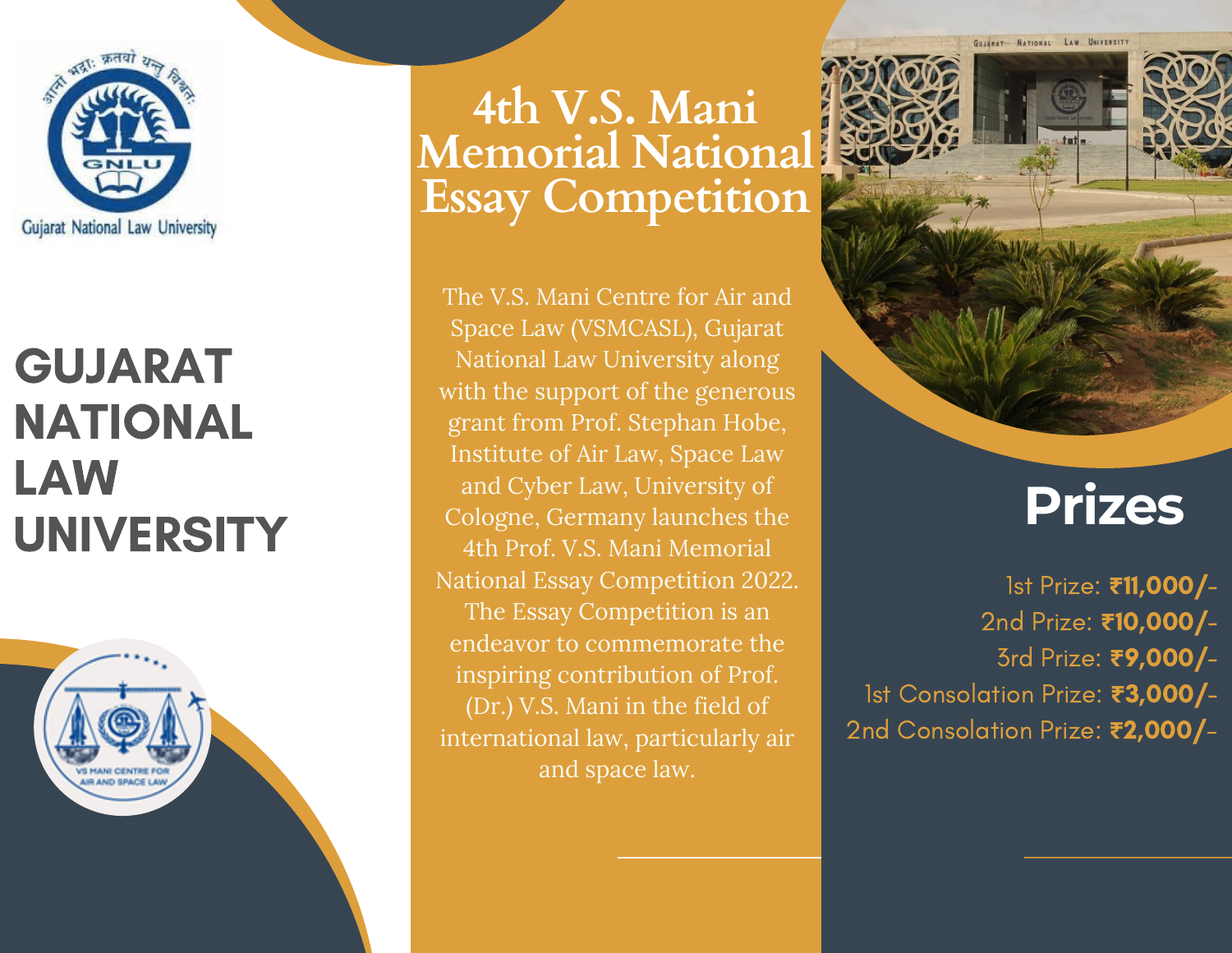

### GUJARAT NATIONAL LAW UNIVERSITY



**4th V.S. Mani Memorial National Essay Competition**

The V.S. Mani Centre for Air and Space Law (VSMCASL), Gujarat National Law University along with the support of the generous grant from Prof. Stephan Hobe, Institute of Air Law, Space Law and Cyber Law, University of Cologne, Germany launches the 4th Prof. V.S. Mani Memorial National Essay Competition 2022. The Essay Competition is an endeavor to commemorate the inspiring contribution of Prof. (Dr.) V.S. Mani in the field of international law, particularly air and space law.



GUJARAT - NATIONAL LAW UNIVERSITY

## **Prizes**

1st Prize: **₹**11,000/- 2nd Prize: **₹**10,000/- 3rd Prize: **₹**9,000/- 1st Consolation Prize: **₹**3,000/- 2nd Consolation Prize: **₹**2,000/-